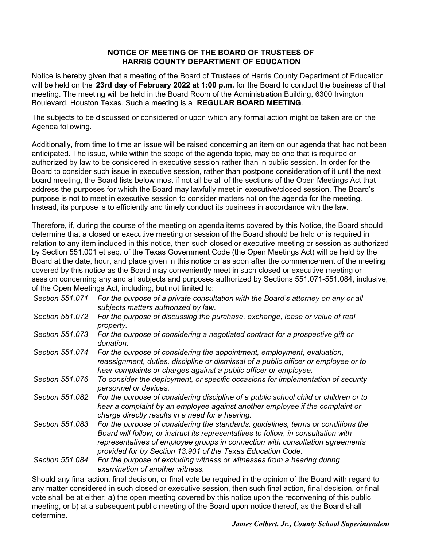## **NOTICE OF MEETING OF THE BOARD OF TRUSTEES OF HARRIS COUNTY DEPARTMENT OF EDUCATION**

Notice is hereby given that a meeting of the Board of Trustees of Harris County Department of Education will be held on the **23rd day of February 2022 at 1:00 p.m.** for the Board to conduct the business of that meeting. The meeting will be held in the Board Room of the Administration Building, 6300 Irvington Boulevard, Houston Texas. Such a meeting is a **REGULAR BOARD MEETING**.

The subjects to be discussed or considered or upon which any formal action might be taken are on the Agenda following.

Additionally, from time to time an issue will be raised concerning an item on our agenda that had not been anticipated. The issue, while within the scope of the agenda topic, may be one that is required or authorized by law to be considered in executive session rather than in public session. In order for the Board to consider such issue in executive session, rather than postpone consideration of it until the next board meeting, the Board lists below most if not all be all of the sections of the Open Meetings Act that address the purposes for which the Board may lawfully meet in executive/closed session. The Board's purpose is not to meet in executive session to consider matters not on the agenda for the meeting. Instead, its purpose is to efficiently and timely conduct its business in accordance with the law.

Therefore, if, during the course of the meeting on agenda items covered by this Notice, the Board should determine that a closed or executive meeting or session of the Board should be held or is required in relation to any item included in this notice, then such closed or executive meeting or session as authorized by Section 551.001 et seq. of the Texas Government Code (the Open Meetings Act) will be held by the Board at the date, hour, and place given in this notice or as soon after the commencement of the meeting covered by this notice as the Board may conveniently meet in such closed or executive meeting or session concerning any and all subjects and purposes authorized by Sections 551.071-551.084, inclusive, of the Open Meetings Act, including, but not limited to:

| Section 551.071 | For the purpose of a private consultation with the Board's attorney on any or all<br>subjects matters authorized by law.                                                                                                                                                                                                |
|-----------------|-------------------------------------------------------------------------------------------------------------------------------------------------------------------------------------------------------------------------------------------------------------------------------------------------------------------------|
| Section 551.072 | For the purpose of discussing the purchase, exchange, lease or value of real<br>property.                                                                                                                                                                                                                               |
| Section 551.073 | For the purpose of considering a negotiated contract for a prospective gift or<br>donation.                                                                                                                                                                                                                             |
| Section 551.074 | For the purpose of considering the appointment, employment, evaluation,<br>reassignment, duties, discipline or dismissal of a public officer or employee or to<br>hear complaints or charges against a public officer or employee.                                                                                      |
| Section 551.076 | To consider the deployment, or specific occasions for implementation of security<br>personnel or devices.                                                                                                                                                                                                               |
| Section 551.082 | For the purpose of considering discipline of a public school child or children or to<br>hear a complaint by an employee against another employee if the complaint or<br>charge directly results in a need for a hearing.                                                                                                |
| Section 551.083 | For the purpose of considering the standards, guidelines, terms or conditions the<br>Board will follow, or instruct its representatives to follow, in consultation with<br>representatives of employee groups in connection with consultation agreements<br>provided for by Section 13.901 of the Texas Education Code. |
| Section 551.084 | For the purpose of excluding witness or witnesses from a hearing during<br>examination of another witness.                                                                                                                                                                                                              |
|                 | $\bullet$ is the contract of the contract of the contract of the contract of the contract of the contract of the contract of the contract of the contract of the contract of the contract of the contract of the contract of the c                                                                                      |

Should any final action, final decision, or final vote be required in the opinion of the Board with regard to any matter considered in such closed or executive session, then such final action, final decision, or final vote shall be at either: a) the open meeting covered by this notice upon the reconvening of this public meeting, or b) at a subsequent public meeting of the Board upon notice thereof, as the Board shall determine.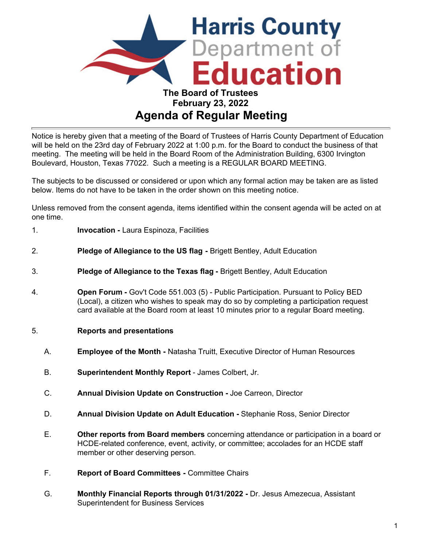

## **Agenda of Regular Meeting**

Notice is hereby given that a meeting of the Board of Trustees of Harris County Department of Education will be held on the 23rd day of February 2022 at 1:00 p.m. for the Board to conduct the business of that meeting. The meeting will be held in the Board Room of the Administration Building, 6300 Irvington Boulevard, Houston, Texas 77022. Such a meeting is a REGULAR BOARD MEETING.

The subjects to be discussed or considered or upon which any formal action may be taken are as listed below. Items do not have to be taken in the order shown on this meeting notice.

Unless removed from the consent agenda, items identified within the consent agenda will be acted on at one time.

- 1. **Invocation -** Laura Espinoza, Facilities
- 2. **Pledge of Allegiance to the US flag -** Brigett Bentley, Adult Education
- 3. **Pledge of Allegiance to the Texas flag** Brigett Bentley, Adult Education
- 4. **Open Forum -** Gov't Code 551.003 (5) Public Participation. Pursuant to Policy BED (Local), a citizen who wishes to speak may do so by completing a participation request card available at the Board room at least 10 minutes prior to a regular Board meeting.
- 5. **Reports and presentations**
	- A. **Employee of the Month -** Natasha Truitt, Executive Director of Human Resources
	- B. **Superintendent Monthly Report** James Colbert, Jr.
	- C. **Annual Division Update on Construction -** Joe Carreon, Director
	- D. **Annual Division Update on Adult Education** Stephanie Ross, Senior Director
	- E. **Other reports from Board members** concerning attendance or participation in a board or HCDE-related conference, event, activity, or committee; accolades for an HCDE staff member or other deserving person.
	- F. **Report of Board Committees -** Committee Chairs
	- G. **Monthly Financial Reports through 01/31/2022** Dr. Jesus Amezecua, Assistant Superintendent for Business Services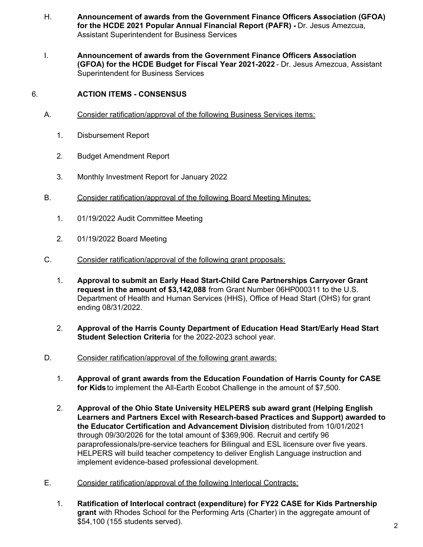- H. **Announcement of awards from the Government Finance Officers Association (GFOA) for the HCDE 2021 Popular Annual Financial Report (PAFR) -** Dr. Jesus Amezcua, Assistant Superintendent for Business Services
- I. **Announcement of awards from the Government Finance Officers Association (GFOA) for the HCDE Budget for Fiscal Year 2021-2022** - Dr. Jesus Amezcua, Assistant Superintendent for Business Services

## 6. **ACTION ITEMS - CONSENSUS**

- A. Consider ratification/approval of the following Business Services items:
	- 1. Disbursement Report
	- 2. Budget Amendment Report
	- 3. Monthly Investment Report for January 2022
- B. Consider ratification/approval of the following Board Meeting Minutes:
	- 1. 01/19/2022 Audit Committee Meeting
	- 2. 01/19/2022 Board Meeting
- C. Consider ratification/approval of the following grant proposals:
	- 1. **Approval to submit an Early Head Start-Child Care Partnerships Carryover Grant request in the amount of \$3,142,088** from Grant Number 06HP000311 to the U.S. Department of Health and Human Services (HHS), Office of Head Start (OHS) for grant ending 08/31/2022.
	- 2. **Approval of the Harris County Department of Education Head Start/Early Head Start Student Selection Criteria** for the 2022-2023 school year.
- D. Consider ratification/approval of the following grant awards:
	- 1. **Approval of grant awards from the Education Foundation of Harris County for CASE for Kids** to implement the All-Earth Ecobot Challenge in the amount of \$7,500.
	- 2. **Approval of the Ohio State University HELPERS sub award grant (Helping English Learners and Partners Excel with Research-based Practices and Support) awarded to the Educator Certification and Advancement Division**, distributed from 10/01/2021 through 09/30/2026 for the total amount of \$369,906. Recruit and certify 96 paraprofessionals/pre-service teachers for Bilingual and ESL licensure over five years. HELPERS will build teacher competency to deliver English Language instruction and implement evidence-based professional development.
- E. Consider ratification/approval of the following Interlocal Contracts:
	- 1. **Ratification of Interlocal contract (expenditure) for FY22 CASE for Kids Partnership grant** with Rhodes School for the Performing Arts (Charter) in the aggregate amount of \$54,100 (155 students served).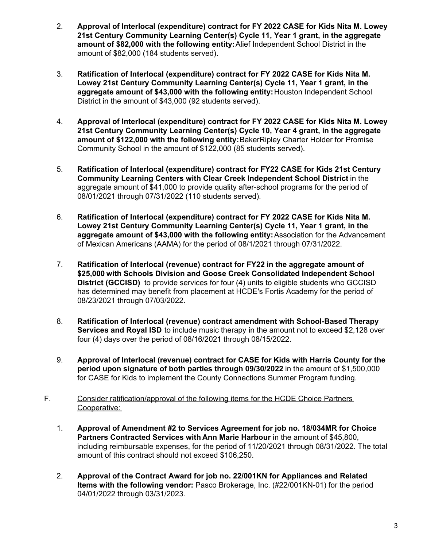- 2. **Approval of Interlocal (expenditure) contract for FY 2022 CASE for Kids Nita M. Lowey 21st Century Community Learning Center(s) Cycle 11, Year 1 grant, in the aggregate amount of \$82,000 with the following entity:** Alief Independent School District in the amount of \$82,000 (184 students served).
- 3. **Ratification of Interlocal (expenditure) contract for FY 2022 CASE for Kids Nita M. Lowey 21st Century Community Learning Center(s) Cycle 11, Year 1 grant, in the aggregate amount of \$43,000 with the following entity:** Houston Independent School District in the amount of \$43,000 (92 students served).
- 4. **Approval of Interlocal (expenditure) contract for FY 2022 CASE for Kids Nita M. Lowey 21st Century Community Learning Center(s) Cycle 10, Year 4 grant, in the aggregate amount of \$122,000 with the following entity:** BakerRipley Charter Holder for Promise Community School in the amount of \$122,000 (85 students served).
- 5. **Ratification of Interlocal (expenditure) contract for FY22 CASE for Kids 21st Century Community Learning Centers with Clear Creek Independent School District** in the aggregate amount of \$41,000 to provide quality after-school programs for the period of 08/01/2021 through 07/31/2022 (110 students served).
- 6. **Ratification of Interlocal (expenditure) contract for FY 2022 CASE for Kids Nita M. Lowey 21st Century Community Learning Center(s) Cycle 11, Year 1 grant, in the aggregate amount of \$43,000 with the following entity:** Association for the Advancement of Mexican Americans (AAMA) for the period of 08/1/2021 through 07/31/2022.
- 7. **Ratification of Interlocal (revenue) contract for FY22 in the aggregate amount of \$25,000 with Schools Division and Goose Creek Consolidated Independent School District (GCCISD)** to provide services for four (4) units to eligible students who GCCISD has determined may benefit from placement at HCDE's Fortis Academy for the period of 08/23/2021 through 07/03/2022.
- 8. **Ratification of Interlocal (revenue) contract amendment with School-Based Therapy Services and Royal ISD** to include music therapy in the amount not to exceed \$2,128 over four (4) days over the period of 08/16/2021 through 08/15/2022.
- 9. **Approval of Interlocal (revenue) contract for CASE for Kids with Harris County for the period upon signature of both parties through 09/30/2022** in the amount of \$1,500,000 for CASE for Kids to implement the County Connections Summer Program funding.
- F. Consider ratification/approval of the following items for the HCDE Choice Partners Cooperative:
	- 1. **Approval of Amendment #2 to Services Agreement for job no. 18/034MR for Choice Partners Contracted Services with Ann Marie Harbour** in the amount of \$45,800, including reimbursable expenses, for the period of 11/20/2021 through 08/31/2022. The total amount of this contract should not exceed \$106,250.
	- 2. **Approval of the Contract Award for job no. 22/001KN for Appliances and Related Items with the following vendor:** Pasco Brokerage, Inc. (#22/001KN-01) for the period 04/01/2022 through 03/31/2023.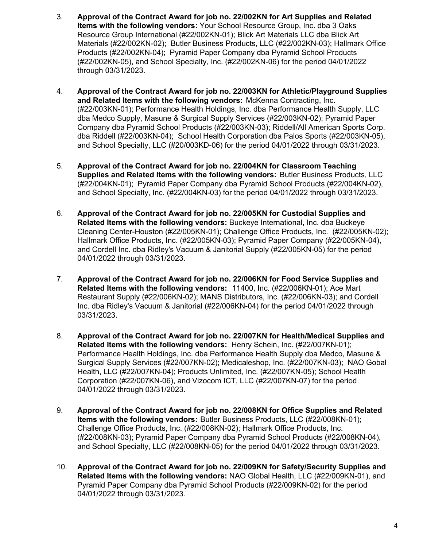- 3. **Approval of the Contract Award for job no. 22/002KN for Art Supplies and Related Items with the following vendors:** Your School Resource Group, Inc. dba 3 Oaks Resource Group International (#22/002KN-01); Blick Art Materials LLC dba Blick Art Materials (#22/002KN-02); Butler Business Products, LLC (#22/002KN-03); Hallmark Office Products (#22/002KN-04); Pyramid Paper Company dba Pyramid School Products (#22/002KN-05), and School Specialty, Inc. (#22/002KN-06) for the period 04/01/2022 through 03/31/2023.
- 4. **Approval of the Contract Award for job no. 22/003KN for Athletic/Playground Supplies and Related Items with the following vendors:** McKenna Contracting, Inc. (#22/003KN-01); Performance Health Holdings, Inc. dba Performance Health Supply, LLC dba Medco Supply, Masune & Surgical Supply Services (#22/003KN-02); Pyramid Paper Company dba Pyramid School Products (#22/003KN-03); Riddell/All American Sports Corp. dba Riddell (#22/003KN-04); School Health Corporation dba Palos Sports (#22/003KN-05), and School Specialty, LLC (#20/003KD-06) for the period 04/01/2022 through 03/31/2023.
- 5. **Approval of the Contract Award for job no. 22/004KN for Classroom Teaching Supplies and Related Items with the following vendors:** Butler Business Products, LLC (#22/004KN-01); Pyramid Paper Company dba Pyramid School Products (#22/004KN-02), and School Specialty, Inc. (#22/004KN-03) for the period 04/01/2022 through 03/31/2023.
- 6. **Approval of the Contract Award for job no. 22/005KN for Custodial Supplies and Related Items with the following vendors:** Buckeye International, Inc. dba Buckeye Cleaning Center-Houston (#22/005KN-01); Challenge Office Products, Inc. (#22/005KN-02); Hallmark Office Products, Inc. (#22/005KN-03); Pyramid Paper Company (#22/005KN-04), and Cordell Inc. dba Ridley's Vacuum & Janitorial Supply (#22/005KN-05) for the period 04/01/2022 through 03/31/2023.
- 7. **Approval of the Contract Award for job no. 22/006KN for Food Service Supplies and Related Items with the following vendors:** 11400, Inc. (#22/006KN-01); Ace Mart Restaurant Supply (#22/006KN-02); MANS Distributors, Inc. (#22/006KN-03); and Cordell Inc. dba Ridley's Vacuum & Janitorial (#22/006KN-04) for the period 04/01/2022 through 03/31/2023.
- 8. **Approval of the Contract Award for job no. 22/007KN for Health/Medical Supplies and Related Items with the following vendors:** Henry Schein, Inc. (#22/007KN-01); Performance Health Holdings, Inc. dba Performance Health Supply dba Medco, Masune & Surgical Supply Services (#22/007KN-02); Medicaleshop, Inc. (#22/007KN-03); NAO Gobal Health, LLC (#22/007KN-04); Products Unlimited, Inc. (#22/007KN-05); School Health Corporation (#22/007KN-06), and Vizocom ICT, LLC (#22/007KN-07) for the period 04/01/2022 through 03/31/2023.
- 9. **Approval of the Contract Award for job no. 22/008KN for Office Supplies and Related Items with the following vendors:** Butler Business Products, LLC (#22/008KN-01); Challenge Office Products, Inc. (#22/008KN-02); Hallmark Office Products, Inc. (#22/008KN-03); Pyramid Paper Company dba Pyramid School Products (#22/008KN-04), and School Specialty, LLC (#22/008KN-05) for the period 04/01/2022 through 03/31/2023.
- 10. **Approval of the Contract Award for job no. 22/009KN for Safety/Security Supplies and Related Items with the following vendors:** NAO Global Health, LLC (#22/009KN-01), and Pyramid Paper Company dba Pyramid School Products (#22/009KN-02) for the period 04/01/2022 through 03/31/2023.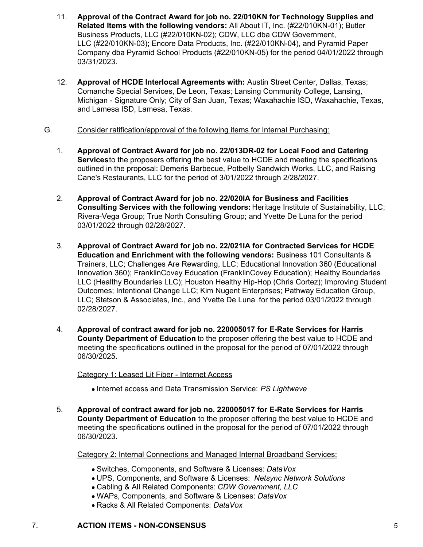- 11. **Approval of the Contract Award for job no. 22/010KN for Technology Supplies and Related Items with the following vendors:** All About IT, Inc. (#22/010KN-01); Butler Business Products, LLC (#22/010KN-02); CDW, LLC dba CDW Government, LLC (#22/010KN-03); Encore Data Products, Inc. (#22/010KN-04), and Pyramid Paper Company dba Pyramid School Products (#22/010KN-05) for the period 04/01/2022 through 03/31/2023.
- 12. **Approval of HCDE Interlocal Agreements with:** Austin Street Center, Dallas, Texas; Comanche Special Services, De Leon, Texas; Lansing Community College, Lansing, Michigan - Signature Only; City of San Juan, Texas; Waxahachie ISD, Waxahachie, Texas, and Lamesa ISD, Lamesa, Texas.
- G. Consider ratification/approval of the following items for Internal Purchasing:
	- 1. **Approval of Contract Award for job no. 22/013DR-02 for Local Food and Catering Services** to the proposers offering the best value to HCDE and meeting the specifications outlined in the proposal: Demeris Barbecue, Potbelly Sandwich Works, LLC, and Raising Cane's Restaurants, LLC for the period of 3/01/2022 through 2/28/2027.
	- 2. **Approval of Contract Award for job no. 22/020IA for Business and Facilities Consulting Services with the following vendors:** Heritage Institute of Sustainability, LLC; Rivera-Vega Group; True North Consulting Group; and Yvette De Luna for the period 03/01/2022 through 02/28/2027.
	- 3. **Approval of Contract Award for job no. 22/021IA for Contracted Services for HCDE Education and Enrichment with the following vendors:** Business 101 Consultants & Trainers, LLC; Challenges Are Rewarding, LLC; Educational Innovation 360 (Educational Innovation 360); FranklinCovey Education (FranklinCovey Education); Healthy Boundaries LLC (Healthy Boundaries LLC); Houston Healthy Hip-Hop (Chris Cortez); Improving Student Outcomes; Intentional Change LLC; Kim Nugent Enterprises; Pathway Education Group, LLC; Stetson & Associates, Inc., and Yvette De Luna for the period 03/01/2022 through 02/28/2027.
	- 4. **Approval of contract award for job no. 220005017 for E-Rate Services for Harris County Department of Education** to the proposer offering the best value to HCDE and meeting the specifications outlined in the proposal for the period of 07/01/2022 through 06/30/2025.

Category 1: Leased Lit Fiber - Internet Access

- **Internet access and Data Transmission Service: PS Lightwave**
- 5. **Approval of contract award for job no. 220005017 for E-Rate Services for Harris County Department of Education** to the proposer offering the best value to HCDE and meeting the specifications outlined in the proposal for the period of 07/01/2022 through 06/30/2023.

Category 2: Internal Connections and Managed Internal Broadband Services:

- Switches, Components, and Software & Licenses: *DataVox*
- UPS, Components, and Software & Licenses: *Netsync Network Solutions*
- Cabling & All Related Components: *CDW Government, LLC*
- WAPs, Components, and Software & Licenses: *DataVox*
- Racks & All Related Components: *DataVox*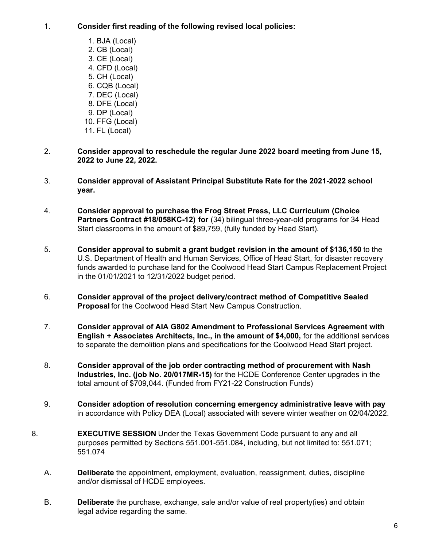## 1. **Consider first reading of the following revised local policies:**

- 1. BJA (Local) 2. CB (Local) 3. CE (Local) 4. CFD (Local) 5. CH (Local) 6. CQB (Local) 7. DEC (Local) 8. DFE (Local) 9. DP (Local) 10. FFG (Local) 11. FL (Local)
- 2. **Consider approval to reschedule the regular June 2022 board meeting from June 15, 2022 to June 22, 2022.**
- 3. **Consider approval of Assistant Principal Substitute Rate for the 2021-2022 school year.**
- 4. **Consider approval to purchase the Frog Street Press, LLC Curriculum (Choice Partners Contract #18/058KC-12) for** (34) bilingual three-year-old programs for 34 Head Start classrooms in the amount of \$89,759, (fully funded by Head Start).
- 5. **Consider approval to submit a grant budget revision in the amount of \$136,150** to the U.S. Department of Health and Human Services, Office of Head Start, for disaster recovery funds awarded to purchase land for the Coolwood Head Start Campus Replacement Project in the 01/01/2021 to 12/31/2022 budget period.
- 6. **Consider approval of the project delivery/contract method of Competitive Sealed Proposal** for the Coolwood Head Start New Campus Construction.
- 7. **Consider approval of AIA G802 Amendment to Professional Services Agreement with English + Associates Architects, Inc., in the amount of \$4,000,** for the additional services to separate the demolition plans and specifications for the Coolwood Head Start project.
- 8. **Consider approval of the job order contracting method of procurement with Nash Industries, Inc. (job No. 20/017MR-15)** for the HCDE Conference Center upgrades in the total amount of \$709,044. (Funded from FY21-22 Construction Funds)
- 9. **Consider adoption of resolution concerning emergency administrative leave with pay** in accordance with Policy DEA (Local) associated with severe winter weather on 02/04/2022.
- 8. **EXECUTIVE SESSION** Under the Texas Government Code pursuant to any and all purposes permitted by Sections 551.001-551.084, including, but not limited to: 551.071; 551.074
	- A. **Deliberate** the appointment, employment, evaluation, reassignment, duties, discipline and/or dismissal of HCDE employees.
	- B. **Deliberate** the purchase, exchange, sale and/or value of real property(ies) and obtain legal advice regarding the same.